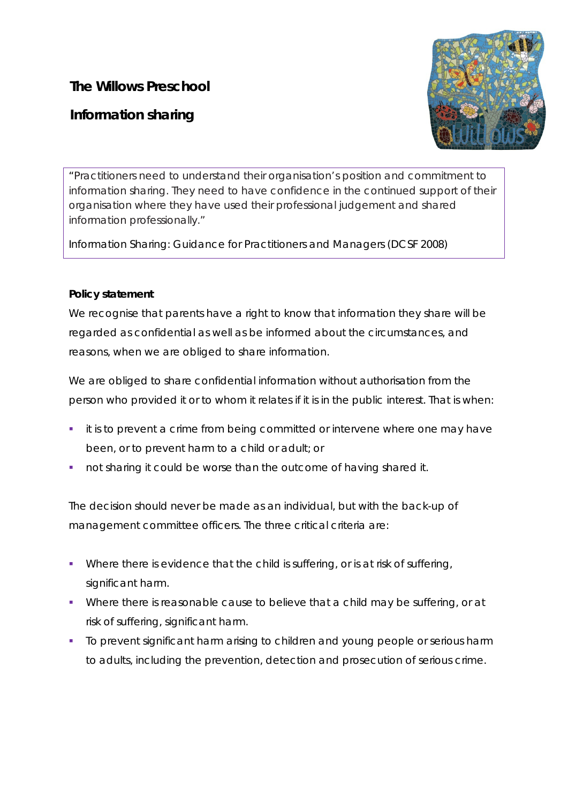## **The Willows Preschool**

# **Information sharing**



*"*Practitioners need to understand their organisation's position and commitment to information sharing. They need to have confidence in the continued support of their organisation where they have used their professional judgement and shared information professionally."

Information Sharing: Guidance for Practitioners and Managers (DCSF 2008)

## **Policy statement**

We recognise that parents have a right to know that information they share will be regarded as confidential as well as be informed about the circumstances, and reasons, when we are obliged to share information.

We are obliged to share confidential information without authorisation from the person who provided it or to whom it relates if it is in the public interest. That is when:

- **it is to prevent a crime from being committed or intervene where one may have** been, or to prevent harm to a child or adult; or
- not sharing it could be worse than the outcome of having shared it.

The decision should never be made as an individual, but with the back-up of management committee officers. The three critical criteria are:

- Where there is *evidence* that the child is suffering, or is at risk of suffering, significant harm.
- Where there *is reasonable cause to believe* that a child may be suffering, or at risk of suffering, significant harm.
- To *prevent* significant harm arising to children and young people or serious harm to adults, including the prevention, detection and prosecution of serious crime.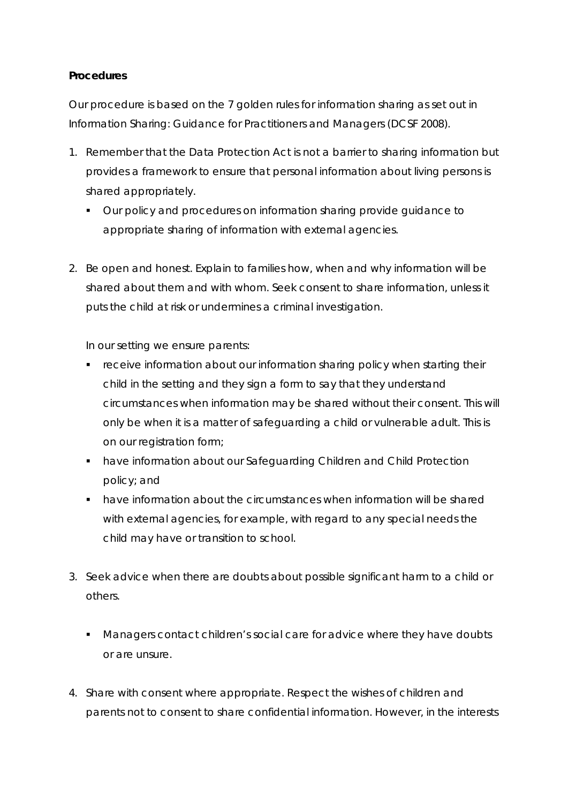### **Procedures**

Our procedure is based on the 7 golden rules for information sharing as set out in *Information Sharing: Guidance for Practitioners and Managers (DCSF 2008).*

- 1. Remember that the Data Protection Act is not a barrier to sharing information but provides a framework to ensure that personal information about living persons is shared appropriately.
	- Our policy and procedures on information sharing provide guidance to appropriate sharing of information with external agencies.
- 2. Be open and honest. Explain to families how, when and why information will be shared about them and with whom. Seek consent to share information, unless it puts the child at risk or undermines a criminal investigation.

In our setting we ensure parents:

- **F** receive information about our information sharing policy when starting their child in the setting and they sign a form to say that they *understand* circumstances when information may be shared without their consent. This will only be when it is a matter of safeguarding a child or vulnerable adult. This is on our registration form;
- have information about our Safeguarding Children and Child Protection policy; and
- have information about the circumstances when information will be shared with external agencies, for example, with regard to any special needs the child may have or transition to school.
- 3. Seek advice when there are doubts about possible significant harm to a child or others.
	- **Managers contact children's social care for advice where they have doubts** or are unsure.
- 4. Share with consent where appropriate. Respect the wishes of children and parents not to consent to share confidential information. However, in the interests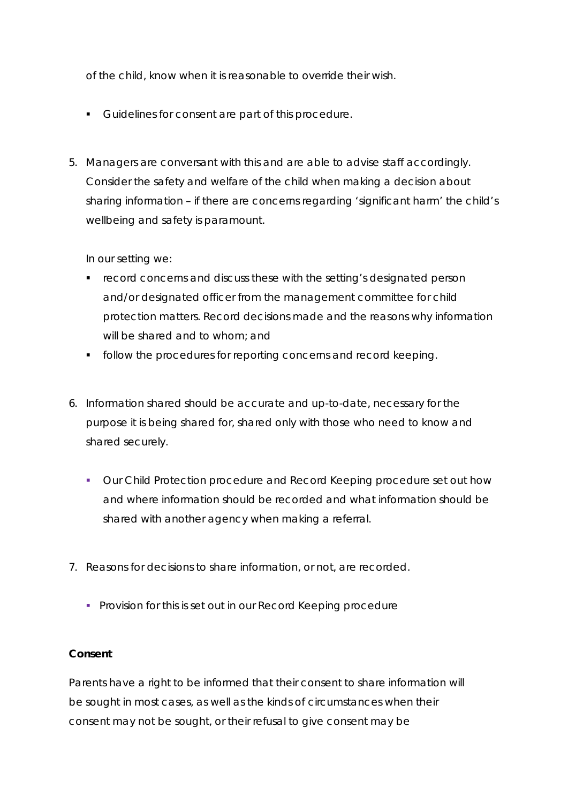of the child, know when it is reasonable to override their wish.

- Guidelines for consent are part of this procedure.
- 5. Managers are conversant with this and are able to advise staff accordingly. Consider the safety and welfare of the child when making a decision about sharing information – if there are concerns regarding 'significant harm' the child's wellbeing and safety is paramount.

In our setting we:

- record concerns and discuss these with the setting's *designated person*  and/or *designated officer* from the management committee for child protection matters. Record decisions made and the reasons why information will be shared and to whom; and
- **follow the procedures for reporting concerns and record keeping.**
- 6. Information shared should be accurate and up-to-date, necessary for the purpose it is being shared for, shared only with those who need to know and shared securely.
	- Our Child Protection procedure and Record Keeping procedure set out how and where information should be recorded and what information should be shared with another agency when making a referral.
- 7. Reasons for decisions to share information, or not, are recorded.
	- **Provision for this is set out in our Record Keeping procedure**

#### **Consent**

Parents have a right to be informed that their consent to share information will be sought in most cases, as well as the kinds of circumstances when their consent may not be sought, or their refusal to give consent may be